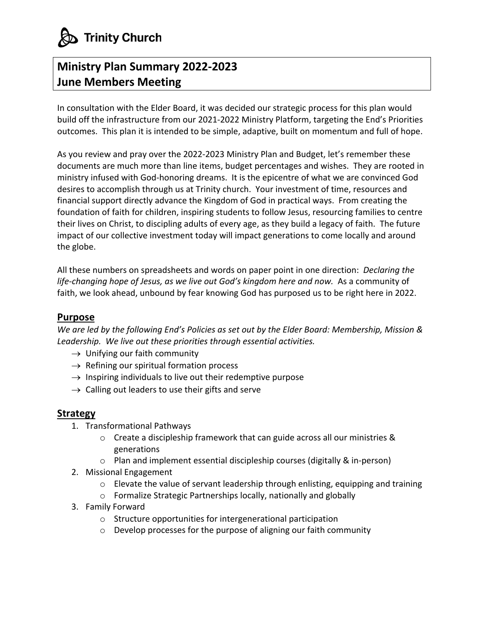

## **Ministry Plan Summary 2022-2023 June Members Meeting**

In consultation with the Elder Board, it was decided our strategic process for this plan would build off the infrastructure from our 2021-2022 Ministry Platform, targeting the End's Priorities outcomes. This plan it is intended to be simple, adaptive, built on momentum and full of hope.

As you review and pray over the 2022-2023 Ministry Plan and Budget, let's remember these documents are much more than line items, budget percentages and wishes. They are rooted in ministry infused with God-honoring dreams. It is the epicentre of what we are convinced God desires to accomplish through us at Trinity church. Your investment of time, resources and financial support directly advance the Kingdom of God in practical ways. From creating the foundation of faith for children, inspiring students to follow Jesus, resourcing families to centre their lives on Christ, to discipling adults of every age, as they build a legacy of faith. The future impact of our collective investment today will impact generations to come locally and around the globe.

All these numbers on spreadsheets and words on paper point in one direction: *Declaring the*  life-changing hope of Jesus, as we live out God's kingdom here and now. As a community of faith, we look ahead, unbound by fear knowing God has purposed us to be right here in 2022.

## **Purpose**

*We are led by the following End's Policies as set out by the Elder Board: Membership, Mission & Leadership. We live out these priorities through essential activities.*

- $\rightarrow$  Unifying our faith community
- $\rightarrow$  Refining our spiritual formation process
- $\rightarrow$  Inspiring individuals to live out their redemptive purpose
- $\rightarrow$  Calling out leaders to use their gifts and serve

## **Strategy**

- 1. Transformational Pathways
	- o Create a discipleship framework that can guide across all our ministries & generations
	- o Plan and implement essential discipleship courses (digitally & in-person)
- 2. Missional Engagement
	- $\circ$  Elevate the value of servant leadership through enlisting, equipping and training
	- o Formalize Strategic Partnerships locally, nationally and globally
- 3. Family Forward
	- o Structure opportunities for intergenerational participation
	- o Develop processes for the purpose of aligning our faith community